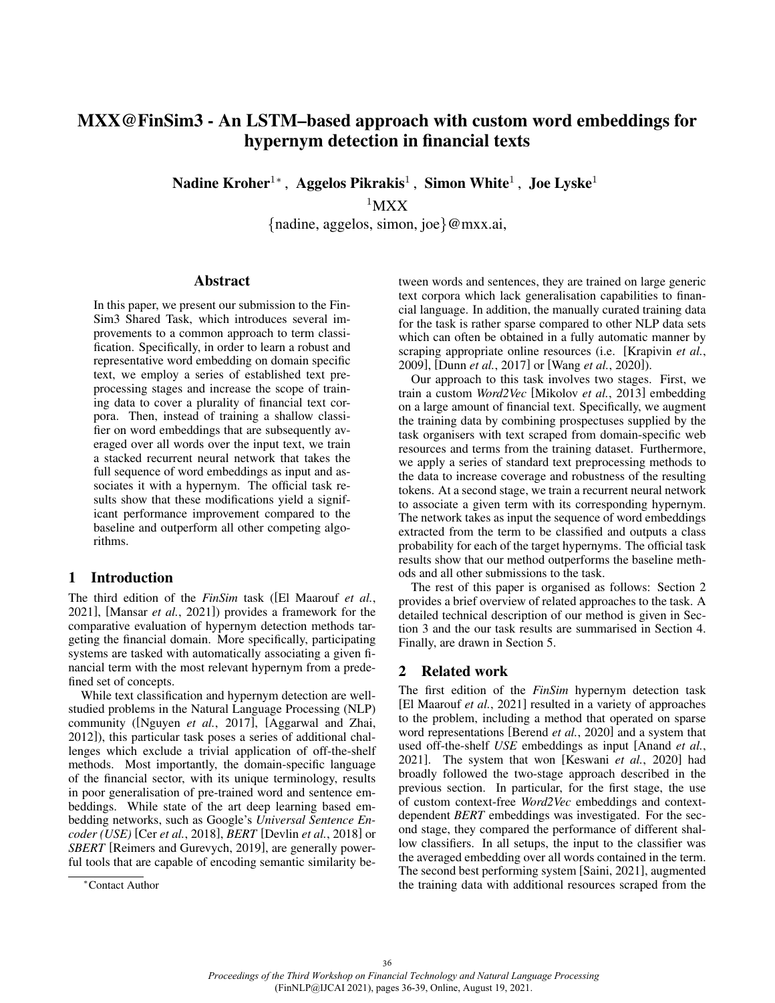# MXX@FinSim3 - An LSTM–based approach with custom word embeddings for hypernym detection in financial texts

Nadine Kroher $^{1*}$ , Aggelos Pikrakis $^{1}$ , Simon White $^{1}$ , Joe Lyske $^{1}$ 

 $1<sub>MXX</sub>$ 

{nadine, aggelos, simon, joe}@mxx.ai,

#### Abstract

In this paper, we present our submission to the Fin-Sim3 Shared Task, which introduces several improvements to a common approach to term classification. Specifically, in order to learn a robust and representative word embedding on domain specific text, we employ a series of established text preprocessing stages and increase the scope of training data to cover a plurality of financial text corpora. Then, instead of training a shallow classifier on word embeddings that are subsequently averaged over all words over the input text, we train a stacked recurrent neural network that takes the full sequence of word embeddings as input and associates it with a hypernym. The official task results show that these modifications yield a significant performance improvement compared to the baseline and outperform all other competing algorithms.

### 1 Introduction

The third edition of the *FinSim* task ([El Maarouf *et al.*, 2021], [Mansar *et al.*, 2021]) provides a framework for the comparative evaluation of hypernym detection methods targeting the financial domain. More specifically, participating systems are tasked with automatically associating a given financial term with the most relevant hypernym from a predefined set of concepts.

While text classification and hypernym detection are wellstudied problems in the Natural Language Processing (NLP) community ([Nguyen *et al.*, 2017], [Aggarwal and Zhai, 2012]), this particular task poses a series of additional challenges which exclude a trivial application of off-the-shelf methods. Most importantly, the domain-specific language of the financial sector, with its unique terminology, results in poor generalisation of pre-trained word and sentence embeddings. While state of the art deep learning based embedding networks, such as Google's *Universal Sentence Encoder (USE)* [Cer *et al.*, 2018], *BERT* [Devlin *et al.*, 2018] or *SBERT* [Reimers and Gurevych, 2019], are generally powerful tools that are capable of encoding semantic similarity between words and sentences, they are trained on large generic text corpora which lack generalisation capabilities to financial language. In addition, the manually curated training data for the task is rather sparse compared to other NLP data sets which can often be obtained in a fully automatic manner by scraping appropriate online resources (i.e. [Krapivin *et al.*, 2009], [Dunn *et al.*, 2017] or [Wang *et al.*, 2020]).

Our approach to this task involves two stages. First, we train a custom *Word2Vec* [Mikolov *et al.*, 2013] embedding on a large amount of financial text. Specifically, we augment the training data by combining prospectuses supplied by the task organisers with text scraped from domain-specific web resources and terms from the training dataset. Furthermore, we apply a series of standard text preprocessing methods to the data to increase coverage and robustness of the resulting tokens. At a second stage, we train a recurrent neural network to associate a given term with its corresponding hypernym. The network takes as input the sequence of word embeddings extracted from the term to be classified and outputs a class probability for each of the target hypernyms. The official task results show that our method outperforms the baseline methods and all other submissions to the task.

The rest of this paper is organised as follows: Section 2 provides a brief overview of related approaches to the task. A detailed technical description of our method is given in Section 3 and the our task results are summarised in Section 4. Finally, are drawn in Section 5.

#### 2 Related work

The first edition of the *FinSim* hypernym detection task [El Maarouf *et al.*, 2021] resulted in a variety of approaches to the problem, including a method that operated on sparse word representations [Berend *et al.*, 2020] and a system that used off-the-shelf *USE* embeddings as input [Anand *et al.*, 2021]. The system that won [Keswani *et al.*, 2020] had broadly followed the two-stage approach described in the previous section. In particular, for the first stage, the use of custom context-free *Word2Vec* embeddings and contextdependent *BERT* embeddings was investigated. For the second stage, they compared the performance of different shallow classifiers. In all setups, the input to the classifier was the averaged embedding over all words contained in the term. The second best performing system [Saini, 2021], augmented the training data with additional resources scraped from the

<sup>∗</sup>Contact Author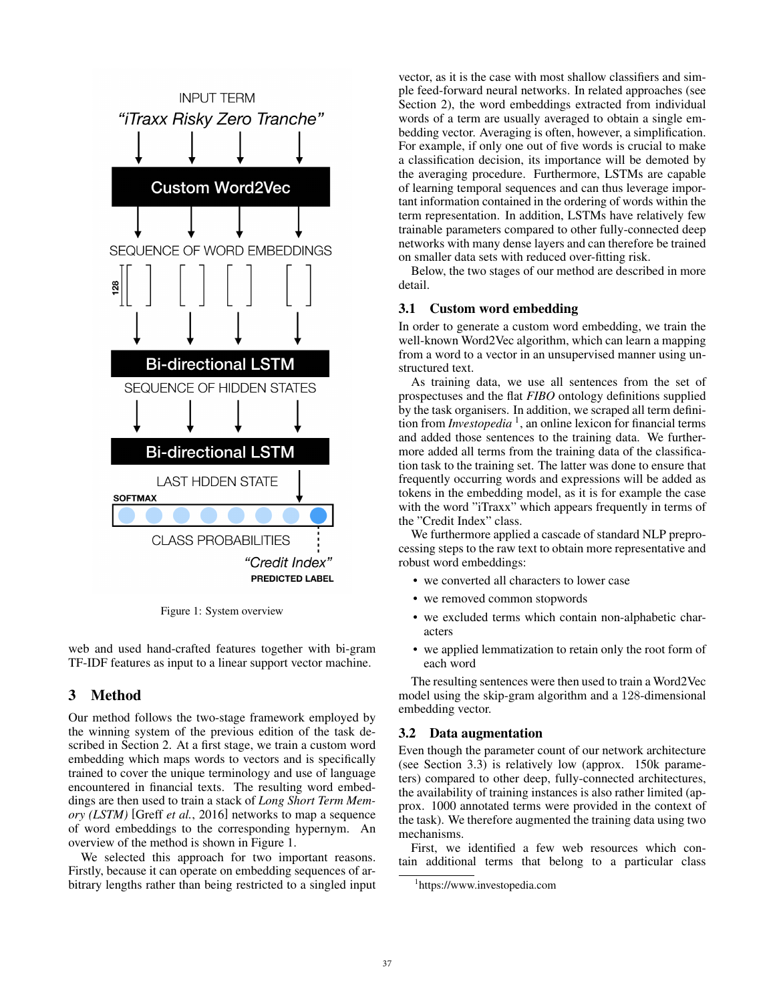

Figure 1: System overview

web and used hand-crafted features together with bi-gram TF-IDF features as input to a linear support vector machine.

# 3 Method

Our method follows the two-stage framework employed by the winning system of the previous edition of the task described in Section 2. At a first stage, we train a custom word embedding which maps words to vectors and is specifically trained to cover the unique terminology and use of language encountered in financial texts. The resulting word embeddings are then used to train a stack of *Long Short Term Memory (LSTM)* [Greff *et al.*, 2016] networks to map a sequence of word embeddings to the corresponding hypernym. An overview of the method is shown in Figure 1.

We selected this approach for two important reasons. Firstly, because it can operate on embedding sequences of arbitrary lengths rather than being restricted to a singled input vector, as it is the case with most shallow classifiers and simple feed-forward neural networks. In related approaches (see Section 2), the word embeddings extracted from individual words of a term are usually averaged to obtain a single embedding vector. Averaging is often, however, a simplification. For example, if only one out of five words is crucial to make a classification decision, its importance will be demoted by the averaging procedure. Furthermore, LSTMs are capable of learning temporal sequences and can thus leverage important information contained in the ordering of words within the term representation. In addition, LSTMs have relatively few trainable parameters compared to other fully-connected deep networks with many dense layers and can therefore be trained on smaller data sets with reduced over-fitting risk.

Below, the two stages of our method are described in more detail.

# 3.1 Custom word embedding

In order to generate a custom word embedding, we train the well-known Word2Vec algorithm, which can learn a mapping from a word to a vector in an unsupervised manner using unstructured text.

As training data, we use all sentences from the set of prospectuses and the flat *FIBO* ontology definitions supplied by the task organisers. In addition, we scraped all term definition from *Investopedia* 1 , an online lexicon for financial terms and added those sentences to the training data. We furthermore added all terms from the training data of the classification task to the training set. The latter was done to ensure that frequently occurring words and expressions will be added as tokens in the embedding model, as it is for example the case with the word "iTraxx" which appears frequently in terms of the "Credit Index" class.

We furthermore applied a cascade of standard NLP preprocessing steps to the raw text to obtain more representative and robust word embeddings:

- we converted all characters to lower case
- we removed common stopwords
- we excluded terms which contain non-alphabetic characters
- we applied lemmatization to retain only the root form of each word

The resulting sentences were then used to train a Word2Vec model using the skip-gram algorithm and a 128-dimensional embedding vector.

#### 3.2 Data augmentation

Even though the parameter count of our network architecture (see Section 3.3) is relatively low (approx. 150k parameters) compared to other deep, fully-connected architectures, the availability of training instances is also rather limited (approx. 1000 annotated terms were provided in the context of the task). We therefore augmented the training data using two mechanisms.

First, we identified a few web resources which contain additional terms that belong to a particular class

<sup>1</sup> <https://www.investopedia.com>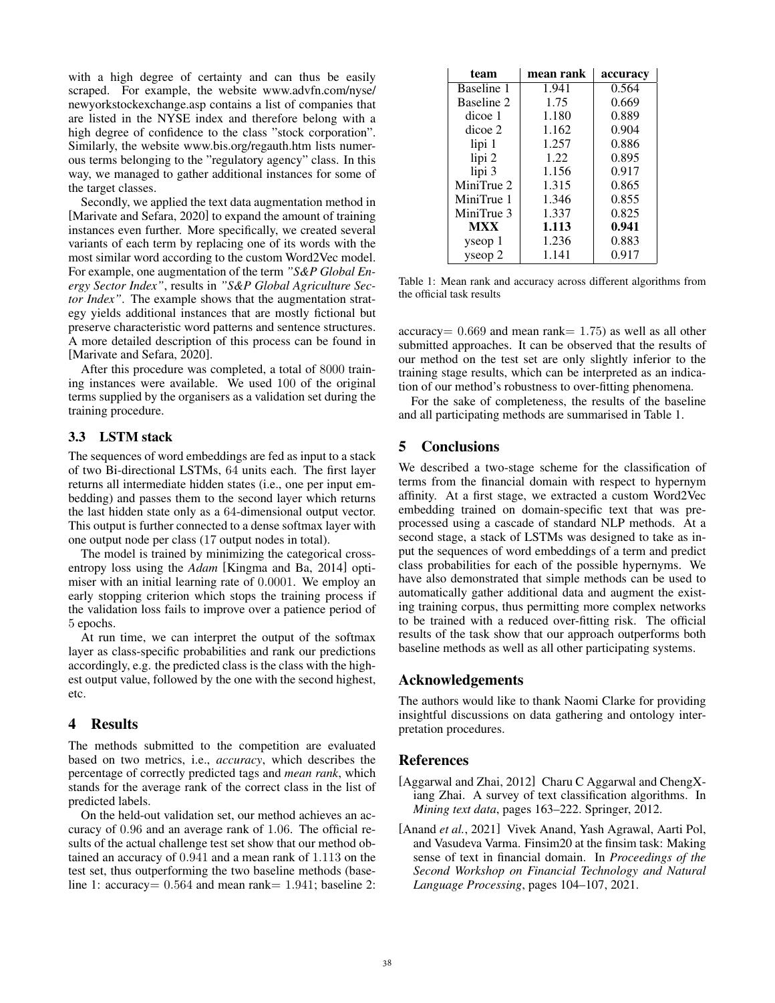with a high degree of certainty and can thus be easily scraped. For example, the website [www.advfn.com/nyse/](www.advfn.com/nyse/newyorkstockexchange.asp) [newyorkstockexchange.asp](www.advfn.com/nyse/newyorkstockexchange.asp) contains a list of companies that are listed in the NYSE index and therefore belong with a high degree of confidence to the class "stock corporation". Similarly, the website<www.bis.org/regauth.htm> lists numerous terms belonging to the "regulatory agency" class. In this way, we managed to gather additional instances for some of the target classes.

Secondly, we applied the text data augmentation method in [Marivate and Sefara, 2020] to expand the amount of training instances even further. More specifically, we created several variants of each term by replacing one of its words with the most similar word according to the custom Word2Vec model. For example, one augmentation of the term *"S&P Global Energy Sector Index"*, results in *"S&P Global Agriculture Sector Index"*. The example shows that the augmentation strategy yields additional instances that are mostly fictional but preserve characteristic word patterns and sentence structures. A more detailed description of this process can be found in [Marivate and Sefara, 2020].

After this procedure was completed, a total of 8000 training instances were available. We used 100 of the original terms supplied by the organisers as a validation set during the training procedure.

### 3.3 LSTM stack

The sequences of word embeddings are fed as input to a stack of two Bi-directional LSTMs, 64 units each. The first layer returns all intermediate hidden states (i.e., one per input embedding) and passes them to the second layer which returns the last hidden state only as a 64-dimensional output vector. This output is further connected to a dense softmax layer with one output node per class (17 output nodes in total).

The model is trained by minimizing the categorical crossentropy loss using the *Adam* [Kingma and Ba, 2014] optimiser with an initial learning rate of 0.0001. We employ an early stopping criterion which stops the training process if the validation loss fails to improve over a patience period of 5 epochs.

At run time, we can interpret the output of the softmax layer as class-specific probabilities and rank our predictions accordingly, e.g. the predicted class is the class with the highest output value, followed by the one with the second highest, etc.

# 4 Results

The methods submitted to the competition are evaluated based on two metrics, i.e., *accuracy*, which describes the percentage of correctly predicted tags and *mean rank*, which stands for the average rank of the correct class in the list of predicted labels.

On the held-out validation set, our method achieves an accuracy of 0.96 and an average rank of 1.06. The official results of the actual challenge test set show that our method obtained an accuracy of 0.941 and a mean rank of 1.113 on the test set, thus outperforming the two baseline methods (baseline 1: accuracy=  $0.564$  and mean rank= 1.941; baseline 2:

| team       | mean rank | accuracy |
|------------|-----------|----------|
| Baseline 1 | 1.941     | 0.564    |
| Baseline 2 | 1.75      | 0.669    |
| dicoe 1    | 1.180     | 0.889    |
| dicoe 2    | 1.162     | 0.904    |
| lipi 1     | 1.257     | 0.886    |
| lipi 2     | 1.22      | 0.895    |
| lipi 3     | 1.156     | 0.917    |
| MiniTrue 2 | 1.315     | 0.865    |
| MiniTrue 1 | 1.346     | 0.855    |
| MiniTrue 3 | 1.337     | 0.825    |
| <b>MXX</b> | 1.113     | 0.941    |
| yseop 1    | 1.236     | 0.883    |
| yseop 2    | 1.141     | 0.917    |

Table 1: Mean rank and accuracy across different algorithms from the official task results

accuracy= 0.669 and mean rank= 1.75) as well as all other submitted approaches. It can be observed that the results of our method on the test set are only slightly inferior to the training stage results, which can be interpreted as an indication of our method's robustness to over-fitting phenomena.

For the sake of completeness, the results of the baseline and all participating methods are summarised in Table 1.

# 5 Conclusions

We described a two-stage scheme for the classification of terms from the financial domain with respect to hypernym affinity. At a first stage, we extracted a custom Word2Vec embedding trained on domain-specific text that was preprocessed using a cascade of standard NLP methods. At a second stage, a stack of LSTMs was designed to take as input the sequences of word embeddings of a term and predict class probabilities for each of the possible hypernyms. We have also demonstrated that simple methods can be used to automatically gather additional data and augment the existing training corpus, thus permitting more complex networks to be trained with a reduced over-fitting risk. The official results of the task show that our approach outperforms both baseline methods as well as all other participating systems.

# Acknowledgements

The authors would like to thank Naomi Clarke for providing insightful discussions on data gathering and ontology interpretation procedures.

# References

- [Aggarwal and Zhai, 2012] Charu C Aggarwal and ChengXiang Zhai. A survey of text classification algorithms. In *Mining text data*, pages 163–222. Springer, 2012.
- [Anand *et al.*, 2021] Vivek Anand, Yash Agrawal, Aarti Pol, and Vasudeva Varma. Finsim20 at the finsim task: Making sense of text in financial domain. In *Proceedings of the Second Workshop on Financial Technology and Natural Language Processing*, pages 104–107, 2021.